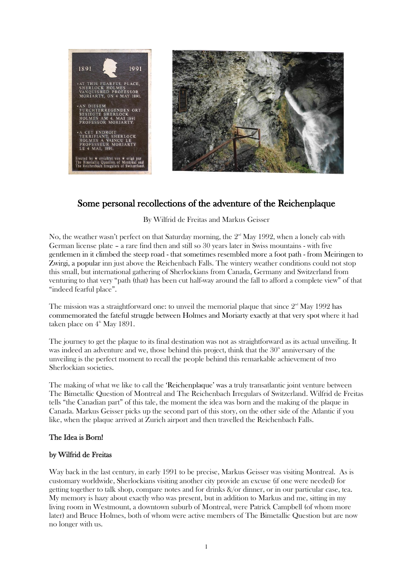

# Some personal recollections of the adventure of the Reichenplaque

By Wilfrid de Freitas and Markus Geisser

No, the weather wasn't perfect on that Saturday morning, the  $2<sup>nd</sup>$  May 1992, when a lonely cab with German license plate – a rare find then and still so 30 years later in Swiss mountains - with five gentlemen in it climbed the steep road - that sometimes resembled more a foot path - from Meiringen to Zwirgi, a popular inn just above the Reichenbach Falls. The wintery weather conditions could not stop this small, but international gathering of Sherlockians from Canada, Germany and Switzerland from venturing to that very "path (that) has been cut half-way around the fall to afford a complete view" of that "indeed fearful place".

The mission was a straightforward one: to unveil the memorial plaque that since  $2<sup>nd</sup>$  May 1992 has commemorated the fateful struggle between Holmes and Moriarty exactly at that very spot where it had taken place on  $4^{\text{th}}$  May 1891.

The journey to get the plaque to its final destination was not as straightforward as its actual unveiling. It was indeed an adventure and we, those behind this project, think that the  $30<sup>th</sup>$  anniversary of the unveiling is the perfect moment to recall the people behind this remarkable achievement of two Sherlockian societies.

The making of what we like to call the 'Reichenplaque' was a truly transatlantic joint venture between The Bimetallic Question of Montreal and The Reichenbach Irregulars of Switzerland. Wilfrid de Freitas tells "the Canadian part" of this tale, the moment the idea was born and the making of the plaque in Canada. Markus Geisser picks up the second part of this story, on the other side of the Atlantic if you like, when the plaque arrived at Zurich airport and then travelled the Reichenbach Falls.

### The Idea is Born!

### by Wilfrid de Freitas

Way back in the last century, in early 1991 to be precise, Markus Geisser was visiting Montreal. As is customary worldwide, Sherlockians visiting another city provide an excuse (if one were needed) for getting together to talk shop, compare notes and for drinks &/or dinner, or in our particular case, tea. My memory is hazy about exactly who was present, but in addition to Markus and me, sitting in my living room in Westmount, a downtown suburb of Montreal, were Patrick Campbell (of whom more later) and Bruce Holmes, both of whom were active members of The Bimetallic Question but are now no longer with us.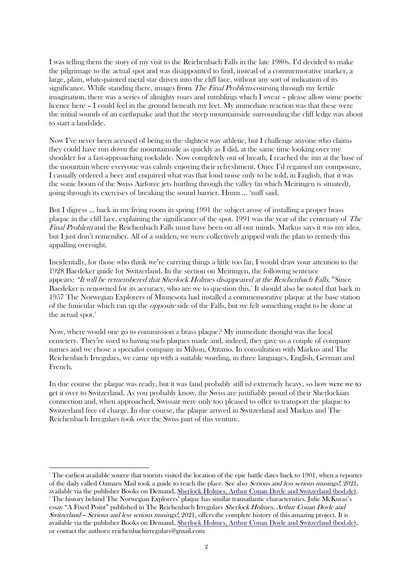I was telling them the story of my visit to the Reichenbach Falls in the late 1980s. I'd decided to make the pilgrimage to the actual spot and was disappointed to find, instead of a commemorative marker, a large, plain, white-painted metal star driven into the cliff face, without any sort of indication of its significance. While standing there, images from *The Final Problem* coursing through my fertile imagination, there was a series of almighty roars and rumblings which I swear – please allow some poetic licence here – I could feel in the ground beneath my feet. My immediate reaction was that these were the initial sounds of an earthquake and that the steep mountainside surrounding the cliff ledge was about to start a landslide.

Now I've never been accused of being in the slightest way athletic, but I challenge anyone who claims they could have run down the mountainside as quickly as I did, at the same time looking over my shoulder for a fast-approaching rockslide. Now completely out of breath, I reached the inn at the base of the mountain where everyone was calmly enjoying their refreshment. Once I'd regained my composure, I casually ordered a beer and enquired what was that loud noise only to be told, in English, that it was the sonic boom of the Swiss Airforce jets hurtling through the valley (in which Meiringen is situated), going through its exercises of breaking the sound barrier. Hmm … 'nuff said.

But I digress … back in my living room in spring 1991 the subject arose of installing a proper brass plaque in the cliff face, explaining the significance of the spot. 1991 was the year of the centenary of The Final Problem and the Reichenbach Falls must have been on all our minds. Markus says it was my idea, but I just don't remember. All of a sudden, we were collectively gripped with the plan to remedy this appalling oversight.

Incidentally, for those who think we're carrying things a little too far, I would draw your attention to the 1928 Baedeker guide for Switzerland. In the section on Meiringen, the following sentence appears: "It will be remembered that Sherlock Holmes disappeared at the Reichenbach Falls." Since Baedeker is renowned for its accuracy, who are we to question this.<sup>1</sup> It should also be noted that back in 1957 The Norwegian Explorers of Minnesota had installed a commemorative plaque at the base station of the funicular which ran up the opposite side of the Falls, but we felt something ought to be done at the actual spot.<sup>2</sup>

Now, where would one go to commission a brass plaque? My immediate thought was the local cemetery. They're used to having such plaques made and, indeed, they gave us a couple of company names and we chose a specialist company in Milton, Ontario. In consultation with Markus and The Reichenbach Irregulars, we came up with a suitable wording, in three languages, English, German and French.

In due course the plaque was ready, but it was (and probably still is) extremely heavy, so how were we to get it over to Switzerland. As you probably know, the Swiss are justifiably proud of their Sherlockian connection and, when approached, Swissair were only too pleased to offer to transport the plaque to Switzerland free of charge. In due course, the plaque arrived in Switzerland and Markus and The Reichenbach Irregulars took over the Swiss part of this venture.

<sup>&</sup>lt;sup>1</sup> The earliest available source that tourists visited the location of the epic battle dates back to 1901, when a reporter of the daily called Oamaru Mail took a guide to reach the place. See also *Serious and less serious musings!*, 2021, available via the publisher Books on Demand, [Sherlock Holmes, Arthur Conan Doyle and Switzerland \(bod.de\).](https://www.bod.de/buchshop/sherlock-holmes-arthur-conan-doyle-and-switzerland-9783753461793)

<sup>2</sup> The history behind The Norwegian Explorers' plaque has similar transatlantic characteristics. Julie McKuras's essay "A Fixed Point" published in The Reichenbach Irregulars Sherlock Holmes, Arthur Conan Doyle and Switzerland – Serious and less serious musings!, 2021, offers the complete history of this amazing project. It is available via the publisher Books on Demand, [Sherlock Holmes, Arthur Conan](https://www.bod.de/buchshop/sherlock-holmes-arthur-conan-doyle-and-switzerland-9783753461793) Doyle and Switzerland (bod.de), or contact the authors: reichenbachirregulars@gmail.com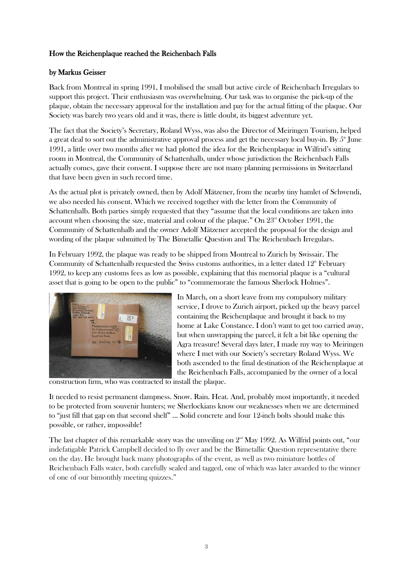## How the Reichenplaque reached the Reichenbach Falls

### by Markus Geisser

Back from Montreal in spring 1991, I mobilised the small but active circle of Reichenbach Irregulars to support this project. Their enthusiasm was overwhelming. Our task was to organise the pick-up of the plaque, obtain the necessary approval for the installation and pay for the actual fitting of the plaque. Our Society was barely two years old and it was, there is little doubt, its biggest adventure yet.

The fact that the Society's Secretary, Roland Wyss, was also the Director of Meiringen Tourism, helped a great deal to sort out the administrative approval process and get the necessary local buy-in. By  $5^{\text{th}}$  June 1991, a little over two months after we had plotted the idea for the Reichenplaque in Wilfrid's sitting room in Montreal, the Community of Schattenhalb, under whose jurisdiction the Reichenbach Falls actually comes, gave their consent. I suppose there are not many planning permissions in Switzerland that have been given in such record time.

As the actual plot is privately owned, then by Adolf Mätzener, from the nearby tiny hamlet of Schwendi, we also needed his consent. Which we received together with the letter from the Community of Schattenhalb. Both parties simply requested that they "assume that the local conditions are taken into account when choosing the size, material and colour of the plaque." On  $23<sup>rd</sup>$  October 1991, the Community of Schattenhalb and the owner Adolf Mätzener accepted the proposal for the design and wording of the plaque submitted by The Bimetallic Question and The Reichenbach Irregulars.

In February 1992, the plaque was ready to be shipped from Montreal to Zurich by Swissair. The Community of Schattenhalb requested the Swiss customs authorities, in a letter dated  $12<sup>th</sup>$  February 1992, to keep any customs fees as low as possible, explaining that this memorial plaque is a "cultural asset that is going to be open to the public" to "commemorate the famous Sherlock Holmes".



In March, on a short leave from my compulsory military service, I drove to Zurich airport, picked up the heavy parcel containing the Reichenplaque and brought it back to my home at Lake Constance. I don't want to get too carried away, but when unwrapping the parcel, it felt a bit like opening the Agra treasure! Several days later, I made my way to Meiringen where I met with our Society's secretary Roland Wyss. We both ascended to the final destination of the Reichenplaque at the Reichenbach Falls, accompanied by the owner of a local

construction firm, who was contracted to install the plaque.

It needed to resist permanent dampness. Snow. Rain. Heat. And, probably most importantly, it needed to be protected from souvenir hunters; we Sherlockians know our weaknesses when we are determined to "just fill that gap on that second shelf" … Solid concrete and four 12-inch bolts should make this possible, or rather, impossible!

The last chapter of this remarkable story was the unveiling on  $2<sup>nd</sup>$  May 1992. As Wilfrid points out, "our indefatigable Patrick Campbell decided to fly over and be the Bimetallic Question representative there on the day. He brought back many photographs of the event, as well as two miniature bottles of Reichenbach Falls water, both carefully sealed and tagged, one of which was later awarded to the winner of one of our bimonthly meeting quizzes."